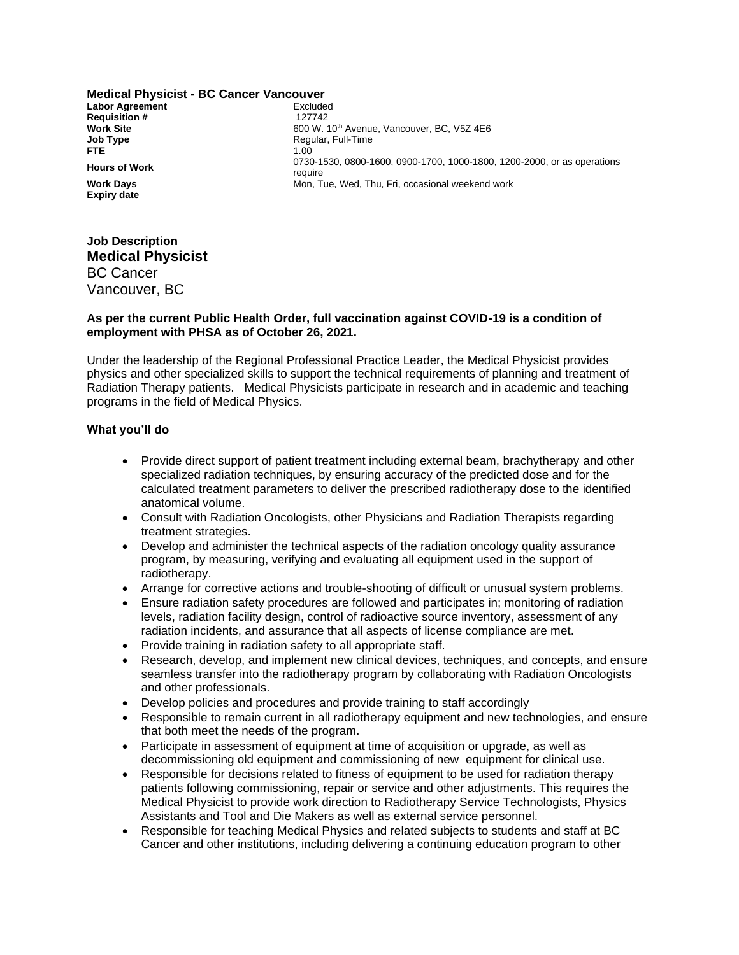**Medical Physicist - BC Cancer Vancouver Labor Agreement**<br> **Requisition #** 127742 **Requisition #**<br>Work Site **Job Type Regular, Full-Time**<br> **FTF** 1.00 **FTE** 1.00 **Expiry date**

600 W. 10<sup>th</sup> Avenue, Vancouver, BC, V5Z 4E6 **Hours of Work** 0730-1530, 0800-1600, 0900-1700, 1000-1800, 1200-2000, or as operations require **Work Days** Mon, Tue, Wed, Thu, Fri, occasional weekend work

# **Job Description Medical Physicist** BC Cancer Vancouver, BC

### **As per the current Public Health Order, full vaccination against COVID-19 is a condition of employment with PHSA as of October 26, 2021.**

Under the leadership of the Regional Professional Practice Leader, the Medical Physicist provides physics and other specialized skills to support the technical requirements of planning and treatment of Radiation Therapy patients. Medical Physicists participate in research and in academic and teaching programs in the field of Medical Physics.

#### **What you'll do**

- Provide direct support of patient treatment including external beam, brachytherapy and other specialized radiation techniques, by ensuring accuracy of the predicted dose and for the calculated treatment parameters to deliver the prescribed radiotherapy dose to the identified anatomical volume.
- Consult with Radiation Oncologists, other Physicians and Radiation Therapists regarding treatment strategies.
- Develop and administer the technical aspects of the radiation oncology quality assurance program, by measuring, verifying and evaluating all equipment used in the support of radiotherapy.
- Arrange for corrective actions and trouble-shooting of difficult or unusual system problems.
- Ensure radiation safety procedures are followed and participates in; monitoring of radiation levels, radiation facility design, control of radioactive source inventory, assessment of any radiation incidents, and assurance that all aspects of license compliance are met.
- Provide training in radiation safety to all appropriate staff.
- Research, develop, and implement new clinical devices, techniques, and concepts, and ensure seamless transfer into the radiotherapy program by collaborating with Radiation Oncologists and other professionals.
- Develop policies and procedures and provide training to staff accordingly
- Responsible to remain current in all radiotherapy equipment and new technologies, and ensure that both meet the needs of the program.
- Participate in assessment of equipment at time of acquisition or upgrade, as well as decommissioning old equipment and commissioning of new equipment for clinical use.
- Responsible for decisions related to fitness of equipment to be used for radiation therapy patients following commissioning, repair or service and other adjustments. This requires the Medical Physicist to provide work direction to Radiotherapy Service Technologists, Physics Assistants and Tool and Die Makers as well as external service personnel.
- Responsible for teaching Medical Physics and related subjects to students and staff at BC Cancer and other institutions, including delivering a continuing education program to other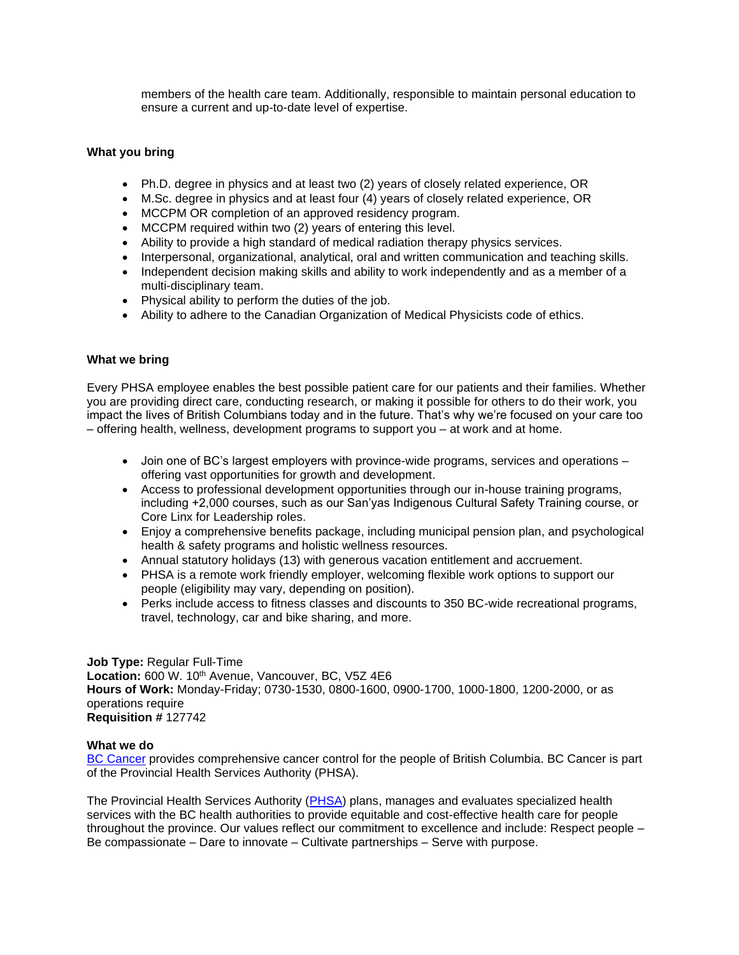members of the health care team. Additionally, responsible to maintain personal education to ensure a current and up-to-date level of expertise.

### **What you bring**

- Ph.D. degree in physics and at least two (2) years of closely related experience, OR
- M.Sc. degree in physics and at least four (4) years of closely related experience, OR
- MCCPM OR completion of an approved residency program.
- MCCPM required within two (2) years of entering this level.
- Ability to provide a high standard of medical radiation therapy physics services.
- Interpersonal, organizational, analytical, oral and written communication and teaching skills.
- Independent decision making skills and ability to work independently and as a member of a multi-disciplinary team.
- Physical ability to perform the duties of the job.
- Ability to adhere to the Canadian Organization of Medical Physicists code of ethics.

#### **What we bring**

Every PHSA employee enables the best possible patient care for our patients and their families. Whether you are providing direct care, conducting research, or making it possible for others to do their work, you impact the lives of British Columbians today and in the future. That's why we're focused on your care too – offering health, wellness, development programs to support you – at work and at home.

- Join one of BC's largest employers with province-wide programs, services and operations offering vast opportunities for growth and development.
- Access to professional development opportunities through our in-house training programs, including +2,000 courses, such as our San'yas Indigenous Cultural Safety Training course, or Core Linx for Leadership roles.
- Enjoy a comprehensive benefits package, including municipal pension plan, and psychological health & safety programs and holistic wellness resources.
- Annual statutory holidays (13) with generous vacation entitlement and accruement.
- PHSA is a remote work friendly employer, welcoming flexible work options to support our people (eligibility may vary, depending on position).
- Perks include access to fitness classes and discounts to 350 BC-wide recreational programs, travel, technology, car and bike sharing, and more.

#### **Job Type:** Regular Full-Time Location: 600 W. 10<sup>th</sup> Avenue, Vancouver, BC, V5Z 4E6 **Hours of Work:** Monday-Friday; 0730-1530, 0800-1600, 0900-1700, 1000-1800, 1200-2000, or as operations require **Requisition #** 127742

#### **What we do**

[BC Cancer](http://www.bccancer.bc.ca/) provides comprehensive cancer control for the people of British Columbia. BC Cancer is part of the Provincial Health Services Authority (PHSA).

The Provincial Health Services Authority [\(PHSA\)](http://www.phsa.ca/) plans, manages and evaluates specialized health services with the BC health authorities to provide equitable and cost-effective health care for people throughout the province. Our values reflect our commitment to excellence and include: Respect people – Be compassionate – Dare to innovate – Cultivate partnerships – Serve with purpose.